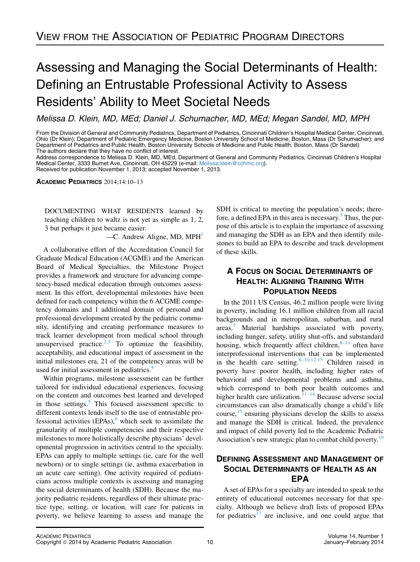# Assessing and Managing the Social Determinants of Health: Defining an Entrustable Professional Activity to Assess Residents' Ability to Meet Societal Needs

Melissa D. Klein, MD, MEd; Daniel J. Schumacher, MD, MEd; Megan Sandel, MD, MPH

From the Division of General and Community Pediatrics, Department of Pediatrics, Cincinnati Children's Hospital Medical Center, Cincinnati, Ohio (Dr Klein); Department of Pediatric Emergency Medicine, Boston University School of Medicine, Boston, Mass (Dr Schumacher); and Department of Pediatrics and Public Health, Boston University Schools of Medicine and Public Health, Boston, Mass (Dr Sandel) The authors declare that they have no conflict of interest.

Address correspondence to Melissa D. Klein, MD, MEd, Department of General and Community Pediatrics, Cincinnati Children's Hospital Medical Center, 3333 Burnet Ave, Cincinnati, OH 45229 (e-mail: [Melissa.klein@cchmc.org\)](mailto:Melissa.klein@cchmc.org). Received for publication November 1, 2013; accepted November 1, 2013.

ACADEMIC PEDIATRICS 2014;14:10–13

DOCUMENTING WHAT RESIDENTS learned by teaching children to waltz is not yet as simple as 1, 2, 3 but perhaps it just became easier.

 $-C$ . Andrew Aligne, MD, MPH<sup>[1](#page-3-0)</sup>

A collaborative effort of the Accreditation Council for Graduate Medical Education (ACGME) and the American Board of Medical Specialties, the Milestone Project provides a framework and structure for advancing competency-based medical education through outcomes assessment. In this effort, developmental milestones have been defined for each competency within the 6 ACGME competency domains and 1 additional domain of personal and professional development created by the pediatric community, identifying and creating performance measures to track learner development from medical school through unsupervised practice.<sup>[2,3](#page-3-0)</sup> To optimize the feasibility, acceptability, and educational impact of assessment in the initial milestones era, 21 of the competency areas will be used for initial assessment in pediatrics.<sup>[4](#page-3-0)</sup>

Within programs, milestone assessment can be further tailored for individual educational experiences, focusing on the content and outcomes best learned and developed in those settings. $5$  This focused assessment specific to different contexts lends itself to the use of entrustable professional activities  $(EPAs)$ , which seek to assimilate the granularity of multiple competencies and their respective milestones to more holistically describe physicians' developmental progression in activities central to the specialty. EPAs can apply to multiple settings (ie, care for the well newborn) or to single settings (ie, asthma exacerbation in an acute care setting). One activity required of pediatricians across multiple contexts is assessing and managing the social determinants of health (SDH). Because the majority pediatric residents, regardless of their ultimate practice type, setting, or location, will care for patients in poverty, we believe learning to assess and manage the

SDH is critical to meeting the population's needs; there-fore, a defined EPA in this area is necessary.<sup>[5](#page-3-0)</sup> Thus, the purpose of this article is to explain the importance of assessing and managing the SDH as an EPA and then identify milestones to build an EPA to describe and track development of these skills.

## A FOCUS ON SOCIAL DETERMINANTS OF HEALTH: ALIGNING TRAINING WITH POPULATION NEEDS

In the 2011 US Census, 46.2 million people were living in poverty, including 16.1 million children from all racial backgrounds and in metropolitan, suburban, and rural areas.[7](#page-3-0) Material hardships associated with poverty, including hunger, safety, utility shut-offs, and substandard housing, which frequently affect children, $8-11$  often have interprofessional interventions that can be implemented in the health care setting. $8-10,12,13$  Children raised in poverty have poorer health, including higher rates of behavioral and developmental problems and asthma, which correspond to both poor health outcomes and higher health care utilization.<sup>[11–14](#page-3-0)</sup> Because adverse social circumstances can also dramatically change a child's life course,  $^{15}$  $^{15}$  $^{15}$  ensuring physicians develop the skills to assess and manage the SDH is critical. Indeed, the prevalence and impact of child poverty led to the Academic Pediatric Association's new strategic plan to combat child poverty.<sup>[16](#page-3-0)</sup>

#### DEFINING ASSESSMENT AND MANAGEMENT OF SOCIAL DETERMINANTS OF HEALTH AS AN EPA

A set of EPAs for a specialty are intended to speak to the entirety of educational outcomes necessary for that specialty. Although we believe draft lists of proposed EPAs for pediatrics<sup>[17](#page-3-0)</sup> are inclusive, and one could argue that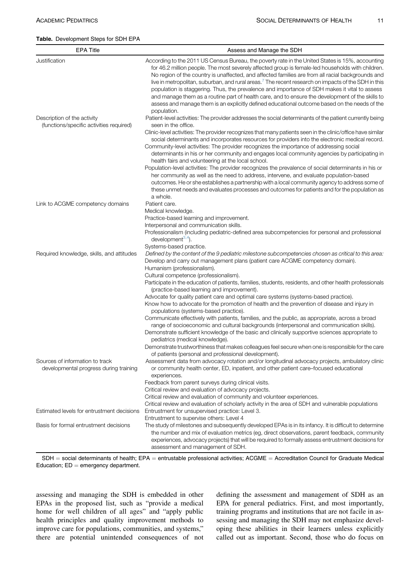#### <span id="page-1-0"></span>Table. Development Steps for SDH EPA

| <b>EPA Title</b>                                                                     | Assess and Manage the SDH                                                                                                                                                                                                                                                                                                                                                                                                                                                                                                                                                                                                                                                                                                                                                                                                                                                                                                                                                                                                                                                                                                                                     |
|--------------------------------------------------------------------------------------|---------------------------------------------------------------------------------------------------------------------------------------------------------------------------------------------------------------------------------------------------------------------------------------------------------------------------------------------------------------------------------------------------------------------------------------------------------------------------------------------------------------------------------------------------------------------------------------------------------------------------------------------------------------------------------------------------------------------------------------------------------------------------------------------------------------------------------------------------------------------------------------------------------------------------------------------------------------------------------------------------------------------------------------------------------------------------------------------------------------------------------------------------------------|
| Justification                                                                        | According to the 2011 US Census Bureau, the poverty rate in the United States is 15%, accounting<br>for 46.2 million people. The most severely affected group is female-led households with children.<br>No region of the country is unaffected, and affected families are from all racial backgrounds and<br>live in metropolitan, suburban, and rural areas. <sup>7</sup> The recent research on impacts of the SDH in this<br>population is staggering. Thus, the prevalence and importance of SDH makes it vital to assess<br>and manage them as a routine part of health care, and to ensure the development of the skills to<br>assess and manage them is an explicitly defined educational outcome based on the needs of the<br>population.                                                                                                                                                                                                                                                                                                                                                                                                            |
| Description of the activity<br>(functions/specific activities required)              | Patient-level activities: The provider addresses the social determinants of the patient currently being<br>seen in the office.<br>Clinic-level activities: The provider recognizes that many patients seen in the clinic/office have similar<br>social determinants and incorporates resources for providers into the electronic medical record.<br>Community-level activities: The provider recognizes the importance of addressing social<br>determinants in his or her community and engages local community agencies by participating in<br>health fairs and volunteering at the local school.<br>Population-level activities: The provider recognizes the prevalence of social determinants in his or<br>her community as well as the need to address, intervene, and evaluate population-based<br>outcomes. He or she establishes a partnership with a local community agency to address some of<br>these unmet needs and evaluates processes and outcomes for patients and for the population as<br>a whole.                                                                                                                                           |
| Link to ACGME competency domains                                                     | Patient care.<br>Medical knowledge.<br>Practice-based learning and improvement.<br>Interpersonal and communication skills.<br>Professionalism (including pediatric-defined area subcompetencies for personal and professional<br>development $^{3,4}$ ).<br>Systems-based practice.                                                                                                                                                                                                                                                                                                                                                                                                                                                                                                                                                                                                                                                                                                                                                                                                                                                                           |
| Required knowledge, skills, and attitudes                                            | Defined by the content of the 9 pediatric milestone subcompetencies chosen as critical to this area:<br>Develop and carry out management plans (patient care ACGME competency domain).<br>Humanism (professionalism).<br>Cultural competence (professionalism).<br>Participate in the education of patients, families, students, residents, and other health professionals<br>(practice-based learning and improvement).<br>Advocate for quality patient care and optimal care systems (systems-based practice).<br>Know how to advocate for the promotion of health and the prevention of disease and injury in<br>populations (systems-based practice).<br>Communicate effectively with patients, families, and the public, as appropriate, across a broad<br>range of socioeconomic and cultural backgrounds (interpersonal and communication skills).<br>Demonstrate sufficient knowledge of the basic and clinically supportive sciences appropriate to<br>pediatrics (medical knowledge).<br>Demonstrate trustworthiness that makes colleagues feel secure when one is responsible for the care<br>of patients (personal and professional development). |
| Sources of information to track<br>developmental progress during training            | Assessment data from advocacy rotation and/or longitudinal advocacy projects, ambulatory clinic<br>or community health center, ED, inpatient, and other patient care–focused educational<br>experiences.<br>Feedback from parent surveys during clinical visits.<br>Critical review and evaluation of advocacy projects.<br>Critical review and evaluation of community and volunteer experiences.                                                                                                                                                                                                                                                                                                                                                                                                                                                                                                                                                                                                                                                                                                                                                            |
| Estimated levels for entrustment decisions<br>Basis for formal entrustment decisions | Critical review and evaluation of scholarly activity in the area of SDH and vulnerable populations<br>Entrustment for unsupervised practice: Level 3.<br>Entrustment to supervise others: Level 4<br>The study of milestones and subsequently developed EPAs is in its infancy. It is difficult to determine<br>the number and mix of evaluation metrics (eg, direct observations, parent feedback, community<br>experiences, advocacy projects) that will be required to formally assess entrustment decisions for<br>assessment and management of SDH.                                                                                                                                                                                                                                                                                                                                                                                                                                                                                                                                                                                                      |

 $SDH =$  social determinants of health;  $EPA =$  entrustable professional activities; ACGME  $=$  Accreditation Council for Graduate Medical Education;  $ED =$  emergency department.

assessing and managing the SDH is embedded in other EPAs in the proposed list, such as "provide a medical home for well children of all ages" and "apply public health principles and quality improvement methods to improve care for populations, communities, and systems," there are potential unintended consequences of not defining the assessment and management of SDH as an EPA for general pediatrics. First, and most importantly, training programs and institutions that are not facile in assessing and managing the SDH may not emphasize developing these abilities in their learners unless explicitly called out as important. Second, those who do focus on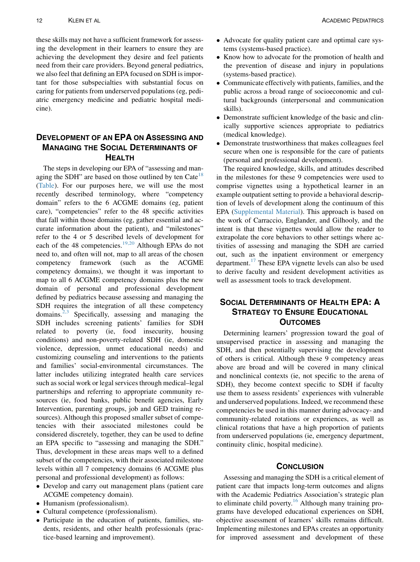these skills may not have a sufficient framework for assessing the development in their learners to ensure they are achieving the development they desire and feel patients need from their care providers. Beyond general pediatrics, we also feel that defining an EPA focused on SDH is important for those subspecialties with substantial focus on caring for patients from underserved populations (eg, pediatric emergency medicine and pediatric hospital medicine).

## DEVELOPMENT OF AN EPA ON ASSESSING AND MANAGING THE SOCIAL DETERMINANTS OF **HEALTH**

The steps in developing our EPA of "assessing and man-aging the SDH" are based on those outlined by ten Cate<sup>[18](#page-3-0)</sup> ([Table\)](#page-1-0). For our purposes here, we will use the most recently described terminology, where "competency domain" refers to the 6 ACGME domains (eg, patient care), "competencies" refer to the 48 specific activities that fall within those domains (eg, gather essential and accurate information about the patient), and "milestones" refer to the 4 or 5 described levels of development for each of the 48 competencies.<sup>[19,20](#page-3-0)</sup> Although EPAs do not need to, and often will not, map to all areas of the chosen competency framework (such as the ACGME competency domains), we thought it was important to map to all 6 ACGME competency domains plus the new domain of personal and professional development defined by pediatrics because assessing and managing the SDH requires the integration of all these competency domains.<sup>[2,3](#page-3-0)</sup> Specifically, assessing and managing the SDH includes screening patients' families for SDH related to poverty (ie, food insecurity, housing conditions) and non-poverty-related SDH (ie, domestic violence, depression, unmet educational needs) and customizing counseling and interventions to the patients and families' social-environmental circumstances. The latter includes utilizing integrated health care services such as social work or legal services through medical–legal partnerships and referring to appropriate community resources (ie, food banks, public benefit agencies, Early Intervention, parenting groups, job and GED training resources). Although this proposed smaller subset of competencies with their associated milestones could be considered discretely, together, they can be used to define an EPA specific to "assessing and managing the SDH." Thus, development in these areas maps well to a defined subset of the competencies, with their associated milestone levels within all 7 competency domains (6 ACGME plus personal and professional development) as follows:

- Develop and carry out management plans (patient care ACGME competency domain).
- Humanism (professionalism).
- Cultural competence (professionalism).
- Participate in the education of patients, families, students, residents, and other health professionals (practice-based learning and improvement).
- Advocate for quality patient care and optimal care systems (systems-based practice).
- Know how to advocate for the promotion of health and the prevention of disease and injury in populations (systems-based practice).
- $\bullet$  Communicate effectively with patients, families, and the public across a broad range of socioeconomic and cultural backgrounds (interpersonal and communication skills).
- Demonstrate sufficient knowledge of the basic and clinically supportive sciences appropriate to pediatrics (medical knowledge).
- Demonstrate trustworthiness that makes colleagues feel secure when one is responsible for the care of patients (personal and professional development).

The required knowledge, skills, and attitudes described in the milestones for these 9 competencies were used to comprise vignettes using a hypothetical learner in an example outpatient setting to provide a behavioral description of levels of development along the continuum of this EPA (Supplemental Material). This approach is based on the work of Carraccio, Englander, and Gilhooly, and the intent is that these vignettes would allow the reader to extrapolate the core behaviors to other settings where activities of assessing and managing the SDH are carried out, such as the inpatient environment or emergency department.<sup>17</sup> These EPA vignette levels can also be used to derive faculty and resident development activities as well as assessment tools to track development.

## SOCIAL DETERMINANTS OF HEALTH EPA: A STRATEGY TO ENSURE EDUCATIONAL **OUTCOMES**

Determining learners' progression toward the goal of unsupervised practice in assessing and managing the SDH, and then potentially supervising the development of others is critical. Although these 9 competency areas above are broad and will be covered in many clinical and nonclinical contexts (ie, not specific to the arena of SDH), they become context specific to SDH if faculty use them to assess residents' experiences with vulnerable and underserved populations. Indeed, we recommend these competencies be used in this manner during advocacy- and community-related rotations or experiences, as well as clinical rotations that have a high proportion of patients from underserved populations (ie, emergency department, continuity clinic, hospital medicine).

#### **CONCLUSION**

Assessing and managing the SDH is a critical element of patient care that impacts long-term outcomes and aligns with the Academic Pediatrics Association's strategic plan to eliminate child poverty.<sup>[16](#page-3-0)</sup> Although many training programs have developed educational experiences on SDH, objective assessment of learners' skills remains difficult. Implementing milestones and EPAs creates an opportunity for improved assessment and development of these